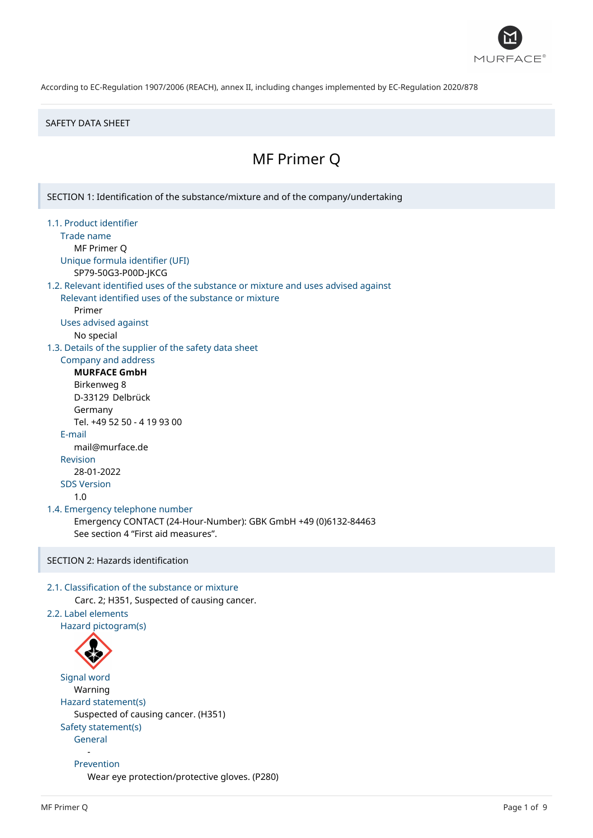

#### SAFETY DATA SHEET

# MF Primer Q

SECTION 1: Identification of the substance/mixture and of the company/undertaking 1.1. Product identifier Trade name MF Primer Q Unique formula identifier (UFI) SP79-50G3-P00D-JKCG 1.2. Relevant identified uses of the substance or mixture and uses advised against Relevant identified uses of the substance or mixture Primer Uses advised against No special 1.3. Details of the supplier of the safety data sheet Company and address **MURFACE GmbH** Birkenweg 8 D-33129 Delbrück Germany Tel. +49 52 50 - 4 19 93 00 E-mail mail@murface.de Revision 28-01-2022 SDS Version 1.0 1.4. Emergency telephone number Emergency CONTACT (24-Hour-Number): GBK GmbH +49 (0)6132-84463 See section 4 "First aid measures". SECTION 2: Hazards identification 2.1. Classification of the substance or mixture Carc. 2; H351, Suspected of causing cancer. 2.2. Label elements Hazard pictogram(s) Signal word Warning Hazard statement(s) Suspected of causing cancer. (H351) Safety statement(s) General - Prevention Wear eye protection/protective gloves. (P280)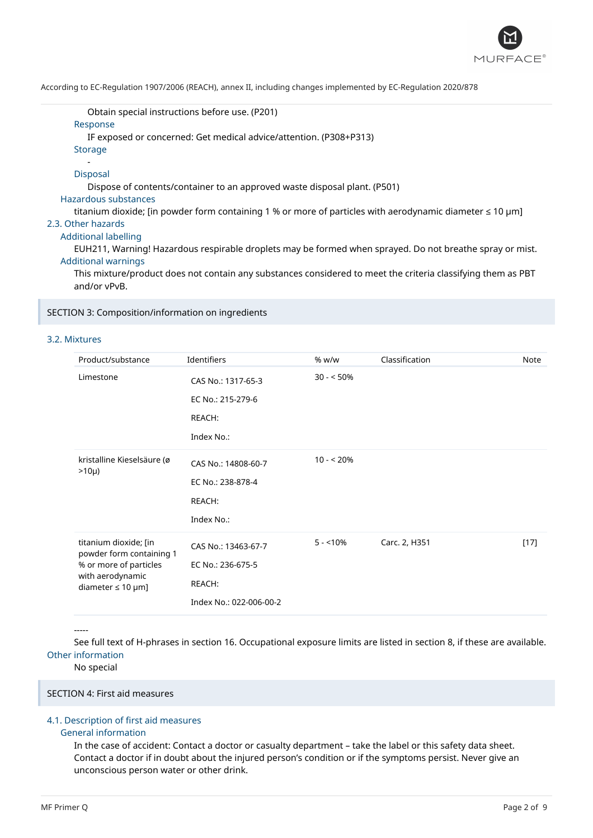

Obtain special instructions before use. (P201)

### Response

IF exposed or concerned: Get medical advice/attention. (P308+P313)

**Storage** 

#### - Disposal

Dispose of contents/container to an approved waste disposal plant. (P501)

#### Hazardous substances

titanium dioxide; [in powder form containing 1 % or more of particles with aerodynamic diameter ≤ 10 μm]

# 2.3. Other hazards

Additional labelling

EUH211, Warning! Hazardous respirable droplets may be formed when sprayed. Do not breathe spray or mist. Additional warnings

This mixture/product does not contain any substances considered to meet the criteria classifying them as PBT and/or vPvB.

## SECTION 3: Composition/information on ingredients

#### 3.2. Mixtures

| Product/substance                                                                                                         | Identifiers                                                                   | % w/w       | Classification | <b>Note</b> |
|---------------------------------------------------------------------------------------------------------------------------|-------------------------------------------------------------------------------|-------------|----------------|-------------|
| Limestone                                                                                                                 | CAS No.: 1317-65-3<br>EC No.: 215-279-6<br>REACH:<br>Index No.:               | $30 - 50\%$ |                |             |
| kristalline Kieselsäure (ø<br>$>10\mu$ )                                                                                  | CAS No.: 14808-60-7<br>EC No.: 238-878-4<br>REACH:<br>Index No.:              | $10 - 20%$  |                |             |
| titanium dioxide; [in<br>powder form containing 1<br>% or more of particles<br>with aerodynamic<br>diameter $\leq 10$ µm] | CAS No.: 13463-67-7<br>EC No.: 236-675-5<br>REACH:<br>Index No.: 022-006-00-2 | $5 - 10%$   | Carc. 2, H351  | $[17]$      |

#### -----

See full text of H-phrases in section 16. Occupational exposure limits are listed in section 8, if these are available. Other information

No special

# SECTION 4: First aid measures

### 4.1. Description of first aid measures

#### General information

In the case of accident: Contact a doctor or casualty department – take the label or this safety data sheet. Contact a doctor if in doubt about the injured person's condition or if the symptoms persist. Never give an unconscious person water or other drink.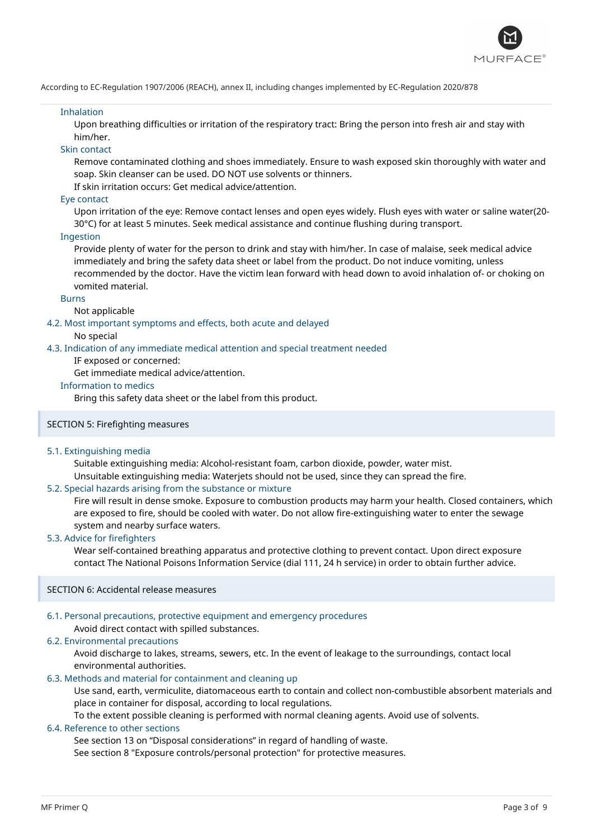

#### Inhalation

Upon breathing difficulties or irritation of the respiratory tract: Bring the person into fresh air and stay with him/her.

# Skin contact

Remove contaminated clothing and shoes immediately. Ensure to wash exposed skin thoroughly with water and soap. Skin cleanser can be used. DO NOT use solvents or thinners.

If skin irritation occurs: Get medical advice/attention.

#### Eye contact

Upon irritation of the eye: Remove contact lenses and open eyes widely. Flush eyes with water or saline water(20- 30°C) for at least 5 minutes. Seek medical assistance and continue flushing during transport.

### Ingestion

Provide plenty of water for the person to drink and stay with him/her. In case of malaise, seek medical advice immediately and bring the safety data sheet or label from the product. Do not induce vomiting, unless recommended by the doctor. Have the victim lean forward with head down to avoid inhalation of- or choking on vomited material.

#### Burns

### Not applicable

4.2. Most important symptoms and effects, both acute and delayed

No special

4.3. Indication of any immediate medical attention and special treatment needed

#### IF exposed or concerned:

Get immediate medical advice/attention.

### Information to medics

Bring this safety data sheet or the label from this product.

#### SECTION 5: Firefighting measures

#### 5.1. Extinguishing media

Suitable extinguishing media: Alcohol-resistant foam, carbon dioxide, powder, water mist.

Unsuitable extinguishing media: Waterjets should not be used, since they can spread the fire.

#### 5.2. Special hazards arising from the substance or mixture

Fire will result in dense smoke. Exposure to combustion products may harm your health. Closed containers, which are exposed to fire, should be cooled with water. Do not allow fire-extinguishing water to enter the sewage system and nearby surface waters.

#### 5.3. Advice for firefighters

Wear self-contained breathing apparatus and protective clothing to prevent contact. Upon direct exposure contact The National Poisons Information Service (dial 111, 24 h service) in order to obtain further advice.

#### SECTION 6: Accidental release measures

# 6.1. Personal precautions, protective equipment and emergency procedures

# Avoid direct contact with spilled substances.

# 6.2. Environmental precautions

Avoid discharge to lakes, streams, sewers, etc. In the event of leakage to the surroundings, contact local environmental authorities.

# 6.3. Methods and material for containment and cleaning up

Use sand, earth, vermiculite, diatomaceous earth to contain and collect non-combustible absorbent materials and place in container for disposal, according to local regulations.

To the extent possible cleaning is performed with normal cleaning agents. Avoid use of solvents.

# 6.4. Reference to other sections

See section 13 on "Disposal considerations" in regard of handling of waste. See section 8 "Exposure controls/personal protection" for protective measures.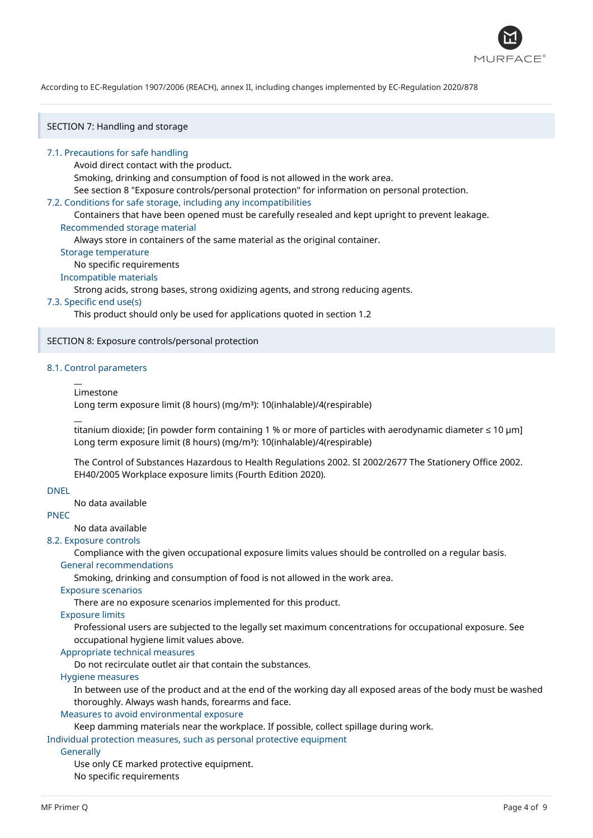

SECTION 7: Handling and storage

#### 7.1. Precautions for safe handling

Avoid direct contact with the product.

Smoking, drinking and consumption of food is not allowed in the work area.

See section 8 "Exposure controls/personal protection" for information on personal protection.

### 7.2. Conditions for safe storage, including any incompatibilities

Containers that have been opened must be carefully resealed and kept upright to prevent leakage. Recommended storage material

Always store in containers of the same material as the original container.

Storage temperature

No specific requirements

# Incompatible materials

Strong acids, strong bases, strong oxidizing agents, and strong reducing agents.

#### 7.3. Specific end use(s)

This product should only be used for applications quoted in section 1.2

#### SECTION 8: Exposure controls/personal protection

### 8.1. Control parameters

#### Limestone

 $\overline{a}$ 

 $\overline{a}$ 

Long term exposure limit (8 hours) (mg/m<sup>3</sup>): 10(inhalable)/4(respirable)

titanium dioxide; [in powder form containing 1 % or more of particles with aerodynamic diameter ≤ 10 μm] Long term exposure limit (8 hours) (mg/m<sup>3</sup>): 10(inhalable)/4(respirable)

The Control of Substances Hazardous to Health Regulations 2002. SI 2002/2677 The Stationery Office 2002. EH40/2005 Workplace exposure limits (Fourth Edition 2020).

## DNEL

No data available

# PNEC

No data available

### 8.2. Exposure controls

Compliance with the given occupational exposure limits values should be controlled on a regular basis.

#### General recommendations

Smoking, drinking and consumption of food is not allowed in the work area.

# Exposure scenarios

There are no exposure scenarios implemented for this product.

# Exposure limits

Professional users are subjected to the legally set maximum concentrations for occupational exposure. See occupational hygiene limit values above.

# Appropriate technical measures

Do not recirculate outlet air that contain the substances.

# Hygiene measures

In between use of the product and at the end of the working day all exposed areas of the body must be washed thoroughly. Always wash hands, forearms and face.

# Measures to avoid environmental exposure

Keep damming materials near the workplace. If possible, collect spillage during work.

Individual protection measures, such as personal protective equipment

# **Generally**

Use only CE marked protective equipment.

No specific requirements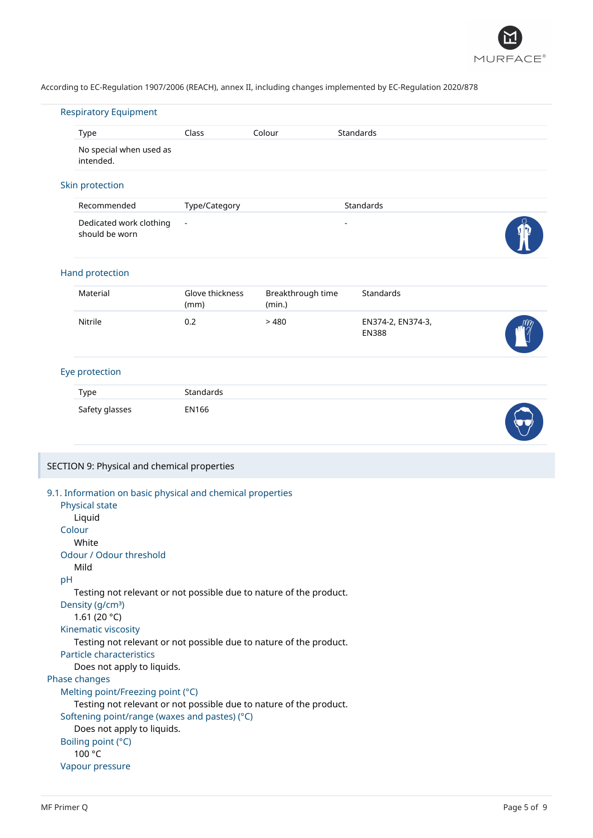

|                 | Type                                                                                                      | Class                   | Colour                      | Standards                         |  |
|-----------------|-----------------------------------------------------------------------------------------------------------|-------------------------|-----------------------------|-----------------------------------|--|
|                 | No special when used as<br>intended.                                                                      |                         |                             |                                   |  |
|                 | Skin protection                                                                                           |                         |                             |                                   |  |
|                 | Recommended                                                                                               | Type/Category           |                             | Standards                         |  |
|                 | Dedicated work clothing<br>should be worn                                                                 | $\blacksquare$          |                             | $\overline{a}$                    |  |
|                 | Hand protection                                                                                           |                         |                             |                                   |  |
|                 | Material                                                                                                  | Glove thickness<br>(mm) | Breakthrough time<br>(min.) | Standards                         |  |
|                 | Nitrile                                                                                                   | 0.2                     | >480                        | EN374-2, EN374-3,<br><b>EN388</b> |  |
|                 | Eye protection                                                                                            |                         |                             |                                   |  |
| Type            |                                                                                                           | Standards               |                             |                                   |  |
|                 | Safety glasses                                                                                            | <b>EN166</b>            |                             |                                   |  |
|                 |                                                                                                           |                         |                             |                                   |  |
|                 | SECTION 9: Physical and chemical properties<br>9.1. Information on basic physical and chemical properties |                         |                             |                                   |  |
|                 | Physical state                                                                                            |                         |                             |                                   |  |
| Liquid          |                                                                                                           |                         |                             |                                   |  |
| Colour<br>White |                                                                                                           |                         |                             |                                   |  |
|                 | Odour / Odour threshold                                                                                   |                         |                             |                                   |  |
| Mild            |                                                                                                           |                         |                             |                                   |  |
| pH              | Testing not relevant or not possible due to nature of the product.                                        |                         |                             |                                   |  |
|                 | Density (g/cm <sup>3</sup> )                                                                              |                         |                             |                                   |  |
|                 | 1.61 (20 $°C$ )                                                                                           |                         |                             |                                   |  |
|                 | Kinematic viscosity                                                                                       |                         |                             |                                   |  |
|                 | Testing not relevant or not possible due to nature of the product.<br>Particle characteristics            |                         |                             |                                   |  |
|                 | Does not apply to liquids.                                                                                |                         |                             |                                   |  |
|                 |                                                                                                           |                         |                             |                                   |  |
| Phase changes   | Melting point/Freezing point (°C)                                                                         |                         |                             |                                   |  |
|                 | Testing not relevant or not possible due to nature of the product.                                        |                         |                             |                                   |  |
|                 | Softening point/range (waxes and pastes) (°C)                                                             |                         |                             |                                   |  |
|                 | Does not apply to liquids.<br>Boiling point (°C)                                                          |                         |                             |                                   |  |
| 100 °C          |                                                                                                           |                         |                             |                                   |  |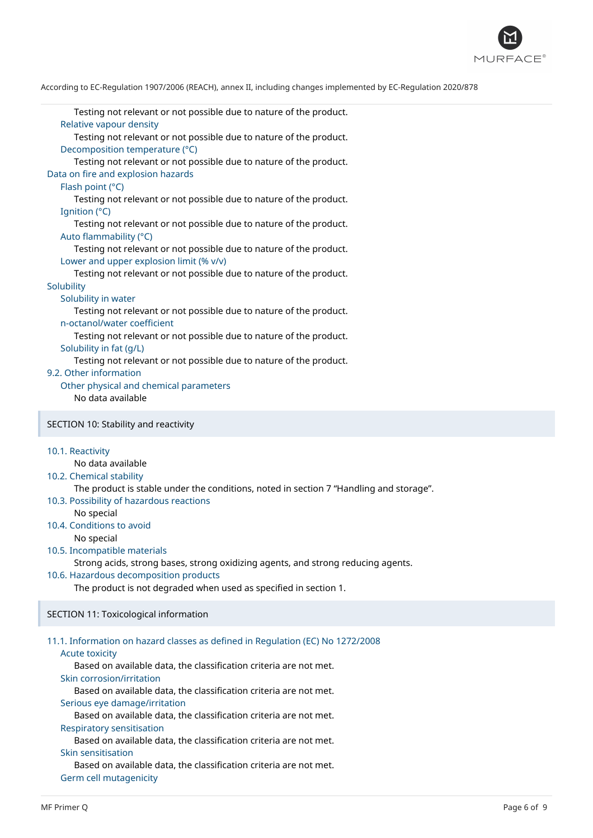

Testing not relevant or not possible due to nature of the product. Relative vapour density Testing not relevant or not possible due to nature of the product. Decomposition temperature (°C) Testing not relevant or not possible due to nature of the product. Data on fire and explosion hazards Flash point (°C) Testing not relevant or not possible due to nature of the product. Ignition (°C) Testing not relevant or not possible due to nature of the product. Auto flammability (°C) Testing not relevant or not possible due to nature of the product. Lower and upper explosion limit (% v/v) Testing not relevant or not possible due to nature of the product. **Solubility** Solubility in water Testing not relevant or not possible due to nature of the product. n-octanol/water coefficient Testing not relevant or not possible due to nature of the product. Solubility in fat (g/L) Testing not relevant or not possible due to nature of the product. 9.2. Other information Other physical and chemical parameters No data available SECTION 10: Stability and reactivity 10.1. Reactivity No data available 10.2. Chemical stability The product is stable under the conditions, noted in section 7 "Handling and storage". 10.3. Possibility of hazardous reactions No special 10.4. Conditions to avoid No special 10.5. Incompatible materials Strong acids, strong bases, strong oxidizing agents, and strong reducing agents. 10.6. Hazardous decomposition products The product is not degraded when used as specified in section 1. SECTION 11: Toxicological information 11.1. Information on hazard classes as defined in Regulation (EC) No 1272/2008 Acute toxicity Based on available data, the classification criteria are not met. Skin corrosion/irritation Based on available data, the classification criteria are not met. Serious eye damage/irritation Based on available data, the classification criteria are not met. Respiratory sensitisation Based on available data, the classification criteria are not met.

#### Skin sensitisation

Based on available data, the classification criteria are not met. Germ cell mutagenicity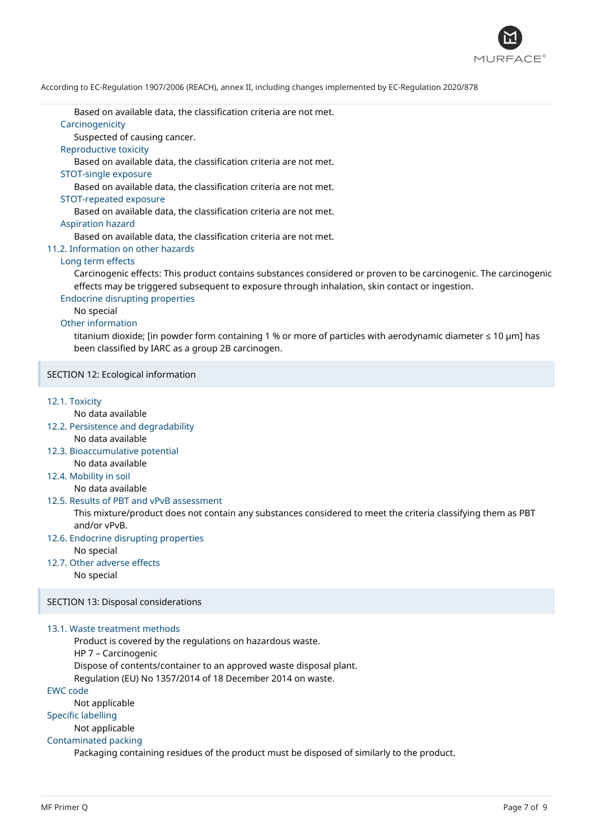

Based on available data, the classification criteria are not met.

### Carcinogenicity

Suspected of causing cancer.

### Reproductive toxicity

Based on available data, the classification criteria are not met.

#### STOT-single exposure

Based on available data, the classification criteria are not met.

#### STOT-repeated exposure

Based on available data, the classification criteria are not met.

#### Aspiration hazard

Based on available data, the classification criteria are not met.

### 11.2. Information on other hazards

### Long term effects

Carcinogenic effects: This product contains substances considered or proven to be carcinogenic. The carcinogenic effects may be triggered subsequent to exposure through inhalation, skin contact or ingestion.

### Endocrine disrupting properties

No special

# Other information

titanium dioxide; [in powder form containing 1 % or more of particles with aerodynamic diameter ≤ 10 μm] has been classified by IARC as a group 2B carcinogen.

### SECTION 12: Ecological information

#### 12.1. Toxicity

No data available

- 12.2. Persistence and degradability No data available
- 12.3. Bioaccumulative potential No data available
- 12.4. Mobility in soil

No data available

#### 12.5. Results of PBT and vPvB assessment

This mixture/product does not contain any substances considered to meet the criteria classifying them as PBT and/or vPvB.

12.6. Endocrine disrupting properties

No special

12.7. Other adverse effects

No special

#### SECTION 13: Disposal considerations

### 13.1. Waste treatment methods

Product is covered by the regulations on hazardous waste.

HP 7 – Carcinogenic

Dispose of contents/container to an approved waste disposal plant.

Regulation (EU) No 1357/2014 of 18 December 2014 on waste.

EWC code

Not applicable

Specific labelling

Not applicable

#### Contaminated packing

Packaging containing residues of the product must be disposed of similarly to the product.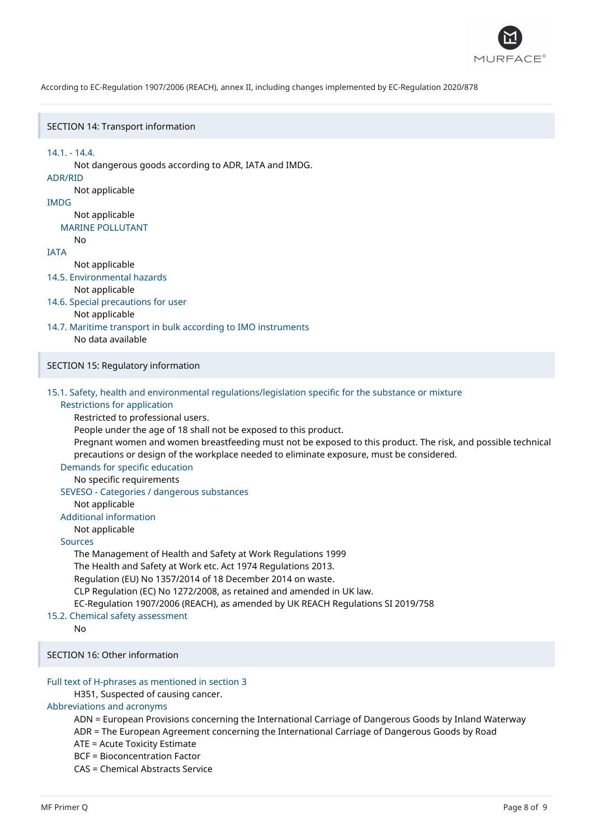

#### SECTION 14: Transport information

14.1. - 14.4. Not dangerous goods according to ADR, IATA and IMDG. ADR/RID Not applicable IMDG Not applicable MARINE POLLUTANT  $N<sub>0</sub>$ IATA Not applicable 14.5. Environmental hazards Not applicable 14.6. Special precautions for user Not applicable 14.7. Maritime transport in bulk according to IMO instruments No data available SECTION 15: Regulatory information 15.1. Safety, health and environmental regulations/legislation specific for the substance or mixture Restrictions for application Restricted to professional users. People under the age of 18 shall not be exposed to this product. Pregnant women and women breastfeeding must not be exposed to this product. The risk, and possible technical precautions or design of the workplace needed to eliminate exposure, must be considered. Demands for specific education No specific requirements SEVESO - Categories / dangerous substances Not applicable Additional information Not applicable Sources The Management of Health and Safety at Work Regulations 1999 The Health and Safety at Work etc. Act 1974 Regulations 2013. Regulation (EU) No 1357/2014 of 18 December 2014 on waste. CLP Regulation (EC) No 1272/2008, as retained and amended in UK law. EC-Regulation 1907/2006 (REACH), as amended by UK REACH Regulations SI 2019/758 15.2. Chemical safety assessment No SECTION 16: Other information Full text of H-phrases as mentioned in section 3 H351, Suspected of causing cancer. Abbreviations and acronyms

ADN = European Provisions concerning the International Carriage of Dangerous Goods by Inland Waterway

ADR = The European Agreement concerning the International Carriage of Dangerous Goods by Road

ATE = Acute Toxicity Estimate

BCF = Bioconcentration Factor

CAS = Chemical Abstracts Service